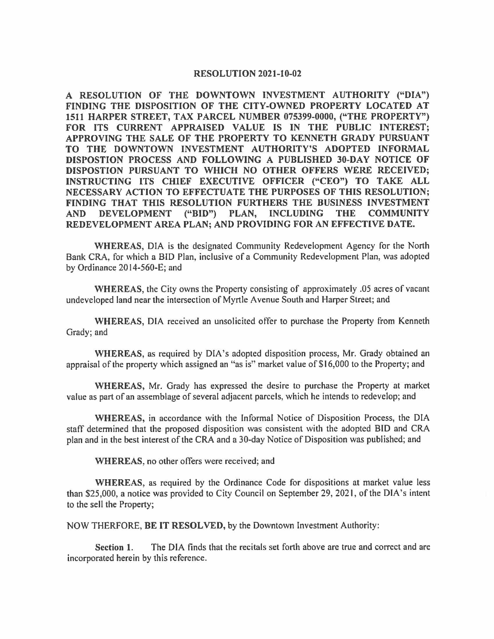#### **RESOLUTION 2021-10-02**

**A RESOLUTION OF THE DOWNTOWN INVESTMENT AUTHORITY ("DIA") FINDING THE DISPOSITION OF THE CITY-OWNED PROPERTY LOCATED AT 1511 HARPER STREET, TAX PARCEL NUMBER 075399-0000, ("THE PROPERTY") FOR ITS CURRENT APPRAISED VALUE IS IN THE PUBLIC INTEREST; APPROVING THE SALE OF THE PROPERTY TO KENNETH GRADY PURSUANT TO THE DOWNTOWN INVESTMENT AUTHORITY'S ADOPTED INFORMAL DISPOSTION PROCESS AND FOLLOWING A PUBLISHED 30-DAY NOTICE OF DISPOSTION PURSUANT TO WHICH NO OTHER OFFERS WERE RECEIVED; INSTRUCTING ITS CHIEF EXECUTIVE OFFICER ("CEO") TO TAKE ALL NECESSARY ACTION TO EFFECTUATE THE PURPOSES OF THIS RESOLUTION; FINDING THAT THIS RESOLUTION FURTHERS THE BUSINESS INVESTMENT AND DEVELOPMENT ("BID") PLAN, INCLUDING THE COMMUNITY REDEVELOPMENT AREA PLAN; AND PROVIDING FOR AN EFFECTIVE DATE.** 

**WHEREAS,** DIA is the designated Community Redevelopment Agency for the North Bank CRA, for which a BID Plan, inclusive of a Community Redevelopment Plan, was adopted by Ordinance 2014-560-E; and

**WHEREAS,** the City owns the Property consisting of approximately .05 acres of vacant undeveloped land near the intersection of Myrtle Avenue South and Harper Street; and

**WHEREAS,** DIA received an unsolicited offer to purchase the Property from Kenneth Grady; and

**WHEREAS,** as required by DIA's adopted disposition process, Mr. Grady obtained an appraisal of the property which assigned an "as is" market value of \$16,000 to the Property; and

**WHEREAS,** Mr. Grady has expressed the desire to purchase the Property at market value as part of an assemblage of several adjacent parcels, which he intends to redevelop; and

**WHEREAS,** in accordance with the Informal Notice of Disposition Process, the DIA staff determined that the proposed disposition was consistent with the adopted BID and CRA plan and in the best interest of the CRA and a 30-day Notice of Disposition was published; and

**WHEREAS,** no other offers were received; and

**WHEREAS,** as required by the Ordinance Code for dispositions at market value less than \$25,000, a notice was provided to City Council on September 29, 2021, of the DIA's intent to the sell the Property;

NOW THERFORE, **BE IT RESOLVED,** by the Downtown Investment Authority:

**Section 1.** The DIA finds that the recitals set forth above are true and correct and are incorporated herein by this reference.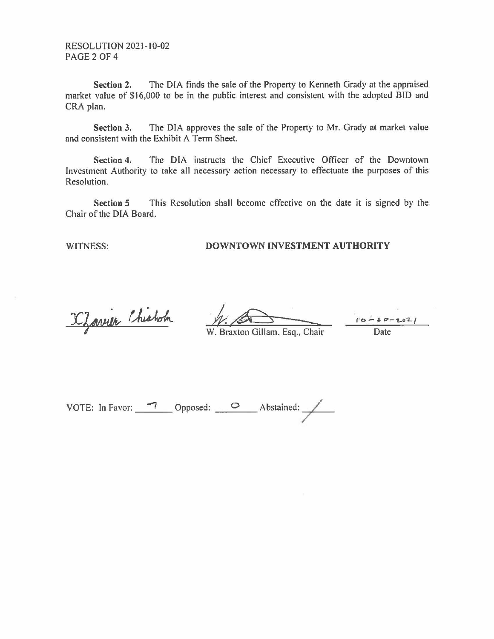RESOLUTION 2021-10-02 PAGE 2 OF 4

**Section 2.** The DIA finds the sale of the Property to Kenneth Grady at the appraised market value of \$16,000 to be in the public interest and consistent with the adopted BID and CRA plan.

**Section 3.** The DIA approves the sale of the Property to Mr. Grady at market value and consistent with the Exhibit A Term Sheet.

**Section 4.** The DIA instructs the Chief Executive Officer of the Downtown Investment Authority to take all necessary action necessary to effectuate the purposes of this Resolution.

**Section 5** This Resolution shall become effective on the date it is signed by the Chair of the DIA Board.

### WITNESS: **DOWNTOWN INVESTMENT AUTHORITY**

X Zarrier Chisholm

/;;-~~::::::::,...,, I' **<sup>o</sup>**- **a.** *~ r-* -z..o-2.. /

W. Braxton Gillam, Esq., Chair

VOTE: In Favor: -, Opposed: \_\_ o \_\_ Abstained: .../---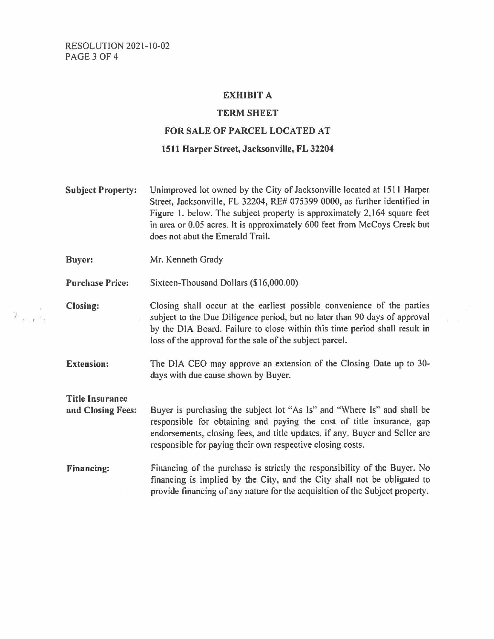## **EXHIBIT A**

#### **TERM SHEET**

#### **FOR SALE OF PARCEL LOCATED AT**

#### **1511 Harper Street, Jacksonville, FL 32204**

- **Subject Property:** Unimproved lot owned by the City of Jacksonville located at 1511 Harper Street, Jacksonville, FL 32204, RE# 075399 0000, as further identified in Figure I. below. The subject property is approximately 2,164 square feet in area or 0.05 acres. It is approximately 600 feet from McCoys Creek but does not abut the Emerald Trail. **Buyer:** Mr. Kenneth Grady **Purchase Price:** Sixteen-Thousand Dollars (\$16,000.00)
- **Closing:** Closing shall occur at the earliest possible convenience of the parties subject to the Due Diligence period, but no later than 90 days of approval by the DIA Board. Failure to close within this time period shall result in loss of the approval for the sale of the subject parcel.
	- **Extension:** The DIA CEO may approve an extension of the Closing Date up to 30days with due cause shown by Buyer.

**Title Insurance and Closing Fees:** Buyer is purchasing the subject lot "As Is" and "Where Is" and shall be responsible for obtaining and paying the cost of title insurance, gap endorsements, closing fees, and title updates, if any. Buyer and Seller are responsible for paying their own respective closing costs.

**Financing:** Financing of the purchase is strictly the responsibility of the Buyer. No financing is implied by the City, and the City shall not be obligated to provide financing of any nature for the acquisition of the Subject property.